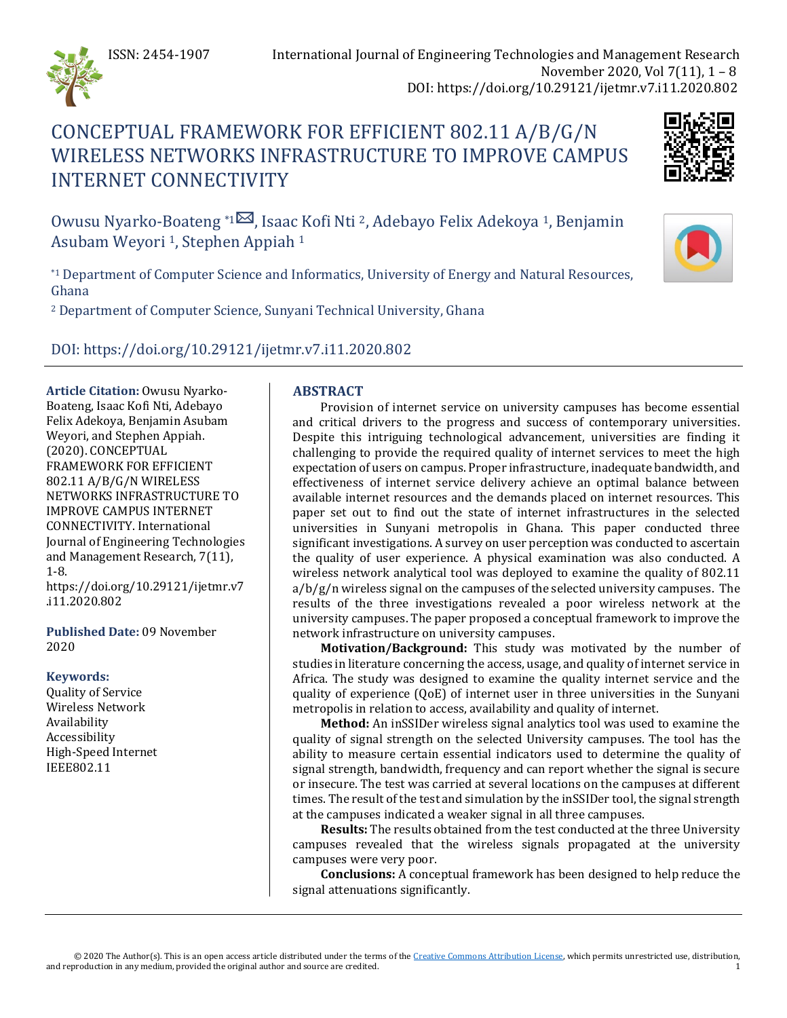

# CONCEPTUAL FRAMEWORK FOR EFFICIENT 802.11 A/B/G/N WIRELESS NETWORKS INFRASTRUCTURE TO IMPROVE CAMPUS INTERNET CONNECTIVITY



Owusu Nyarko-Boateng <sup>\*[1](mailto:owusu.nyarko-boateng@uenr.edu.gh)⊠</sup>, Isaac Kofi Nti <sup>2</sup>, Adebayo Felix Adekoya <sup>1</sup>, Benjamin Asubam Weyori <sup>1</sup>, Stephen Appiah<sup>1</sup>

\*1 Department of Computer Science and Informatics, University of Energy and Natural Resources, Ghana

<sup>2</sup> Department of Computer Science, Sunyani Technical University, Ghana

DOI: https://doi.org/10.29121/ijetmr.v7.i11.2020.802

**Article Citation:** Owusu Nyarko-Boateng, Isaac Kofi Nti, Adebayo Felix Adekoya, Benjamin Asubam Weyori, and Stephen Appiah. (2020). CONCEPTUAL FRAMEWORK FOR EFFICIENT 802.11 A/B/G/N WIRELESS NETWORKS INFRASTRUCTURE TO IMPROVE CAMPUS INTERNET CONNECTIVITY. International Journal of Engineering Technologies and Management Research, 7(11), 1-8. https://doi.org/10.29121/ijetmr.v7 .i11.2020.802

**Published Date:** 09 November 2020

### **Keywords:**

Quality of Service Wireless Network Availability Accessibility High-Speed Internet IEEE802.11

# **ABSTRACT**

Provision of internet service on university campuses has become essential and critical drivers to the progress and success of contemporary universities. Despite this intriguing technological advancement, universities are finding it challenging to provide the required quality of internet services to meet the high expectation of users on campus. Proper infrastructure, inadequate bandwidth, and effectiveness of internet service delivery achieve an optimal balance between available internet resources and the demands placed on internet resources. This paper set out to find out the state of internet infrastructures in the selected universities in Sunyani metropolis in Ghana. This paper conducted three significant investigations. A survey on user perception was conducted to ascertain the quality of user experience. A physical examination was also conducted. A wireless network analytical tool was deployed to examine the quality of 802.11  $a/b/g/n$  wireless signal on the campuses of the selected university campuses. The results of the three investigations revealed a poor wireless network at the university campuses. The paper proposed a conceptual framework to improve the network infrastructure on university campuses.

**Motivation/Background:** This study was motivated by the number of studies in literature concerning the access, usage, and quality of internet service in Africa. The study was designed to examine the quality internet service and the quality of experience (QoE) of internet user in three universities in the Sunyani metropolis in relation to access, availability and quality of internet.

**Method:** An inSSIDer wireless signal analytics tool was used to examine the quality of signal strength on the selected University campuses. The tool has the ability to measure certain essential indicators used to determine the quality of signal strength, bandwidth, frequency and can report whether the signal is secure or insecure. The test was carried at several locations on the campuses at different times. The result of the test and simulation by the inSSIDer tool, the signal strength at the campuses indicated a weaker signal in all three campuses.

**Results:** The results obtained from the test conducted at the three University campuses revealed that the wireless signals propagated at the university campuses were very poor.

**Conclusions:** A conceptual framework has been designed to help reduce the signal attenuations significantly.

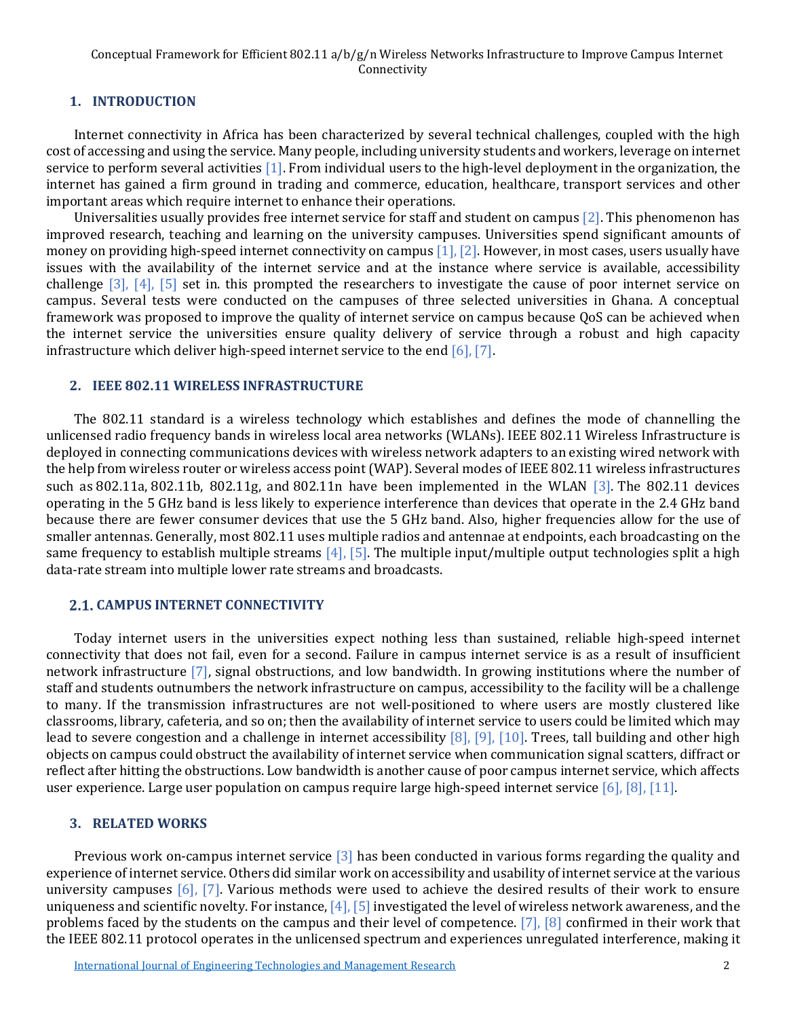#### **1. INTRODUCTION**

Internet connectivity in Africa has been characterized by several technical challenges, coupled with the high cost of accessing and using the service. Many people, including university students and workers, leverage on internet service to perform several activitie[s \[1\].](#page-7-0) From individual users to the high-level deployment in the organization, the internet has gained a firm ground in trading and commerce, education, healthcare, transport services and other important areas which require internet to enhance their operations.

Universalities usually provides free internet service for staff and student on campu[s \[2\].](#page-7-1) This phenomenon has improved research, teaching and learning on the university campuses. Universities spend significant amounts of money on providing high-speed internet connectivity on campus  $[1]$ ,  $[2]$ . However, in most cases, users usually have issues with the availability of the internet service and at the instance where service is available, accessibility challenge [\[3\],](#page-7-2) [\[4\],](#page-7-3) [\[5\]](#page-7-4) set in. this prompted the researchers to investigate the cause of poor internet service on campus. Several tests were conducted on the campuses of three selected universities in Ghana. A conceptual framework was proposed to improve the quality of internet service on campus because QoS can be achieved when the internet service the universities ensure quality delivery of service through a robust and high capacity infrastructure which deliver high-speed internet service to the end [\[6\],](#page-7-5) [\[7\].](#page-7-6)

#### **2. IEEE 802.11 WIRELESS INFRASTRUCTURE**

The 802.11 standard is a wireless technology which establishes and defines the mode of channelling the unlicensed radio frequency bands in wireless local area networks (WLANs). IEEE 802.11 Wireless Infrastructure is deployed in connecting communications devices with wireless network adapters to an existing wired network with the help from wireless router or wireless access point (WAP). Several modes of IEEE 802.11 wireless infrastructures such as 802.11a, 802.11b, 802.11g, and 802.11n have been implemented in the WLAN [\[3\].](#page-7-2) The 802.11 devices operating in the 5 GHz band is less likely to experience interference than devices that operate in the 2.4 GHz band because there are fewer consumer devices that use the 5 GHz band. Also, higher frequencies allow for the use of smaller antennas. Generally, most 802.11 uses multiple radios and antennae at endpoints, each broadcasting on the same frequency to establish multiple streams [\[4\],](#page-7-3) [\[5\].](#page-7-4) The multiple input/multiple output technologies split a high data-rate stream into multiple lower rate streams and broadcasts.

### **CAMPUS INTERNET CONNECTIVITY**

Today internet users in the universities expect nothing less than sustained, reliable high-speed internet connectivity that does not fail, even for a second. Failure in campus internet service is as a result of insufficient network infrastructure [\[7\],](#page-7-6) signal obstructions, and low bandwidth. In growing institutions where the number of staff and students outnumbers the network infrastructure on campus, accessibility to the facility will be a challenge to many. If the transmission infrastructures are not well-positioned to where users are mostly clustered like classrooms, library, cafeteria, and so on; then the availability of internet service to users could be limited which may lead to severe congestion and a challenge in internet accessibility  $[8]$ ,  $[9]$ ,  $[10]$ . Trees, tall building and other high objects on campus could obstruct the availability of internet service when communication signal scatters, diffract or reflect after hitting the obstructions. Low bandwidth is another cause of poor campus internet service, which affects user experience. Large user population on campus require large high-speed internet service [\[6\],](#page-7-5) [\[8\],](#page-7-7) [\[11\].](#page-7-10)

### **3. RELATED WORKS**

Previous work on-campus internet service [\[3\]](#page-7-2) has been conducted in various forms regarding the quality and experience of internet service. Others did similar work on accessibility and usability of internet service at the various university campuses [\[6\],](#page-7-5) [\[7\].](#page-7-6) Various methods were used to achieve the desired results of their work to ensure uniqueness and scientific novelty. For instance[, \[4\],](#page-7-3) [\[5\]](#page-7-4) investigated the level of wireless network awareness, and the problems faced by the students on the campus and their level of competence. [\[7\],](#page-7-6) [\[8\]](#page-7-7) confirmed in their work that the IEEE 802.11 protocol operates in the unlicensed spectrum and experiences unregulated interference, making it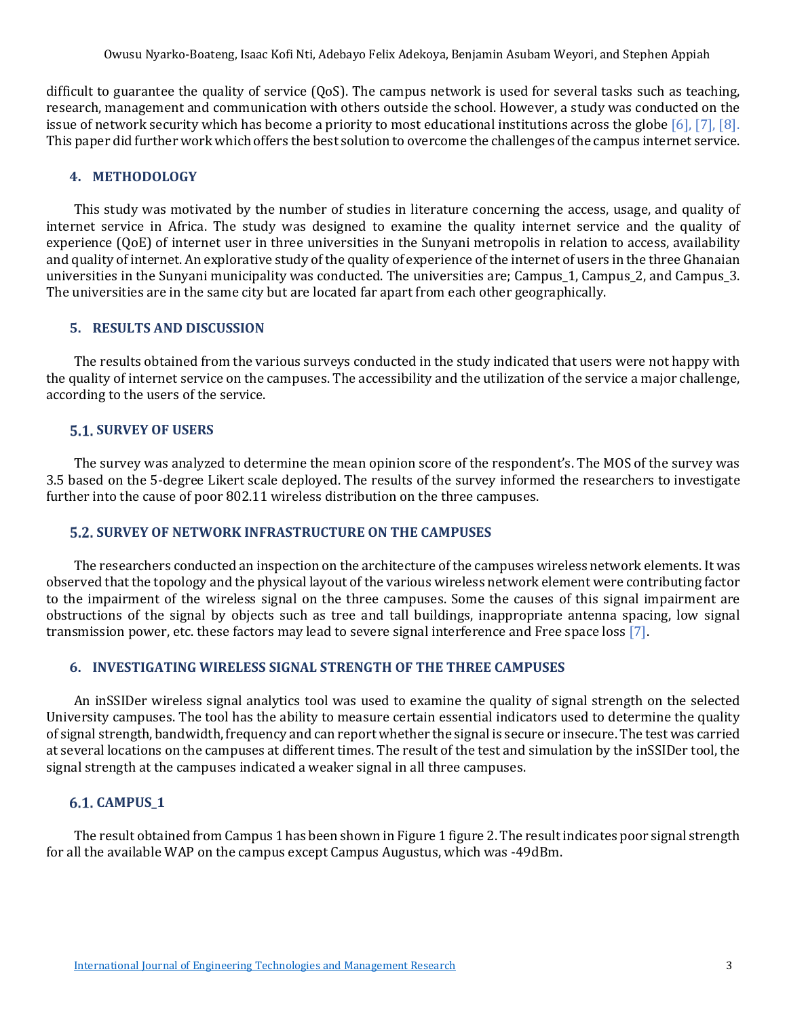difficult to guarantee the quality of service (QoS). The campus network is used for several tasks such as teaching, research, management and communication with others outside the school. However, a study was conducted on the issue of network security which has become a priority to most educational institutions across the globe [\[6\],](#page-7-5) [\[7\],](#page-7-6) [\[8\].](#page-7-7) This paper did further work which offers the best solution to overcome the challenges of the campus internet service.

# **4. METHODOLOGY**

This study was motivated by the number of studies in literature concerning the access, usage, and quality of internet service in Africa. The study was designed to examine the quality internet service and the quality of experience (QoE) of internet user in three universities in the Sunyani metropolis in relation to access, availability and quality of internet. An explorative study of the quality of experience of the internet of users in the three Ghanaian universities in the Sunyani municipality was conducted. The universities are; Campus\_1, Campus\_2, and Campus\_3. The universities are in the same city but are located far apart from each other geographically.

# **5. RESULTS AND DISCUSSION**

The results obtained from the various surveys conducted in the study indicated that users were not happy with the quality of internet service on the campuses. The accessibility and the utilization of the service a major challenge, according to the users of the service.

# **5.1. SURVEY OF USERS**

The survey was analyzed to determine the mean opinion score of the respondent's. The MOS of the survey was 3.5 based on the 5-degree Likert scale deployed. The results of the survey informed the researchers to investigate further into the cause of poor 802.11 wireless distribution on the three campuses.

# **5.2. SURVEY OF NETWORK INFRASTRUCTURE ON THE CAMPUSES**

The researchers conducted an inspection on the architecture of the campuses wireless network elements. It was observed that the topology and the physical layout of the various wireless network element were contributing factor to the impairment of the wireless signal on the three campuses. Some the causes of this signal impairment are obstructions of the signal by objects such as tree and tall buildings, inappropriate antenna spacing, low signal transmission power, etc. these factors may lead to severe signal interference and Free space los[s \[7\].](#page-7-6)

# **6. INVESTIGATING WIRELESS SIGNAL STRENGTH OF THE THREE CAMPUSES**

An inSSIDer wireless signal analytics tool was used to examine the quality of signal strength on the selected University campuses. The tool has the ability to measure certain essential indicators used to determine the quality of signal strength, bandwidth, frequency and can report whether the signal is secure or insecure. The test was carried at several locations on the campuses at different times. The result of the test and simulation by the inSSIDer tool, the signal strength at the campuses indicated a weaker signal in all three campuses.

# **CAMPUS\_1**

The result obtained from Campus 1 has been shown in Figure 1 figure 2. The result indicates poor signal strength for all the available WAP on the campus except Campus Augustus, which was -49dBm.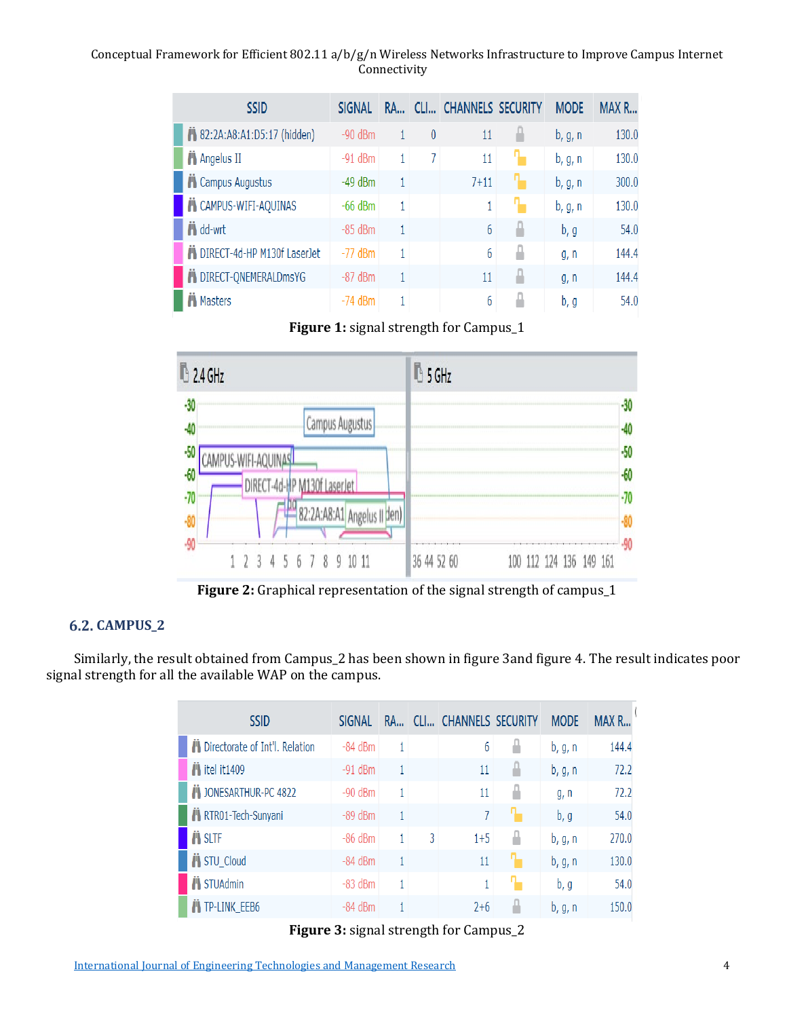Conceptual Framework for Efficient 802.11 a/b/g/n Wireless Networks Infrastructure to Improve Campus Internet Connectivity

| <b>SSID</b>                  | <b>SIGNAL</b> | <b>RA</b> |          | CLI CHANNELS SECURITY | <b>MODE</b> | MAX R |
|------------------------------|---------------|-----------|----------|-----------------------|-------------|-------|
| 82:2A:A8:A1:D5:17 (hidden)   | $-90$ dBm     |           | $\theta$ | 11                    | b, g, n     | 130.0 |
| <b>Angelus II</b>            | $-91$ dBm     | 1         | 7        | 11                    | b, g, n     | 130.0 |
| Campus Augustus              | $-49$ dBm     | 1         |          | $7 + 11$              | b, g, n     | 300.0 |
| <b>N</b> CAMPUS-WIFI-AQUINAS | $-66$ dBm     | 1         |          | 1                     | b, g, n     | 130.0 |
| <b>i</b> dd-wrt              | $-85$ dBm     | 1         |          | 6                     | b, g        | 54.0  |
| DIRECT-4d-HP M130f LaserJet  | $-77$ dBm     | 1         |          | 6                     | g, n        | 144.4 |
| DIRECT-ONEMERALDmsYG         | $-87$ dBm     | 1         |          | 11                    | g, n        | 144.4 |
| <b>A</b> Masters             | $-74$ dBm     | 1         |          | 6                     | b, g        | 54.0  |

**Figure 1:** signal strength for Campus\_1



**Figure 2:** Graphical representation of the signal strength of campus\_1

# **CAMPUS\_2**

Similarly, the result obtained from Campus\_2 has been shown in figure 3and figure 4. The result indicates poor signal strength for all the available WAP on the campus.

| <b>SSID</b>                      | <b>SIGNAL</b> | RA | CLI | CHANNELS SECURITY | <b>MODE</b> | MAX R |
|----------------------------------|---------------|----|-----|-------------------|-------------|-------|
| Directorate of Int'l. Relation   | $-84$ dBm     | 4  |     | 6                 | b, g, n     | 144.4 |
| $\ddot{\phantom{1}}$ itel it1409 | $-91$ dBm     |    |     | 11                | b, g, n     | 72.2  |
| JONESARTHUR-PC 4822              | $-90$ dBm     | 1  |     | 11                | g, n        | 72.2  |
| RTR01-Tech-Sunyani               | $-89$ dBm     |    |     | 7                 | b, g        | 54.0  |
| <b><i>i</i></b> SLTF             | $-86$ dBm     |    | 3   | $1 + 5$           | b, g, n     | 270.0 |
| STU_Cloud                        | $-84$ dBm     |    |     | 11                | b, g, n     | 130.0 |
| <b>N</b> STUAdmin                | $-83$ dBm     | 1  |     | 1                 | b, g        | 54.0  |
| <b>TP-LINK EEB6</b>              | $-84$ dBm     |    |     | $2+6$             | b, g, n     | 150.0 |

**Figure 3:** signal strength for Campus\_2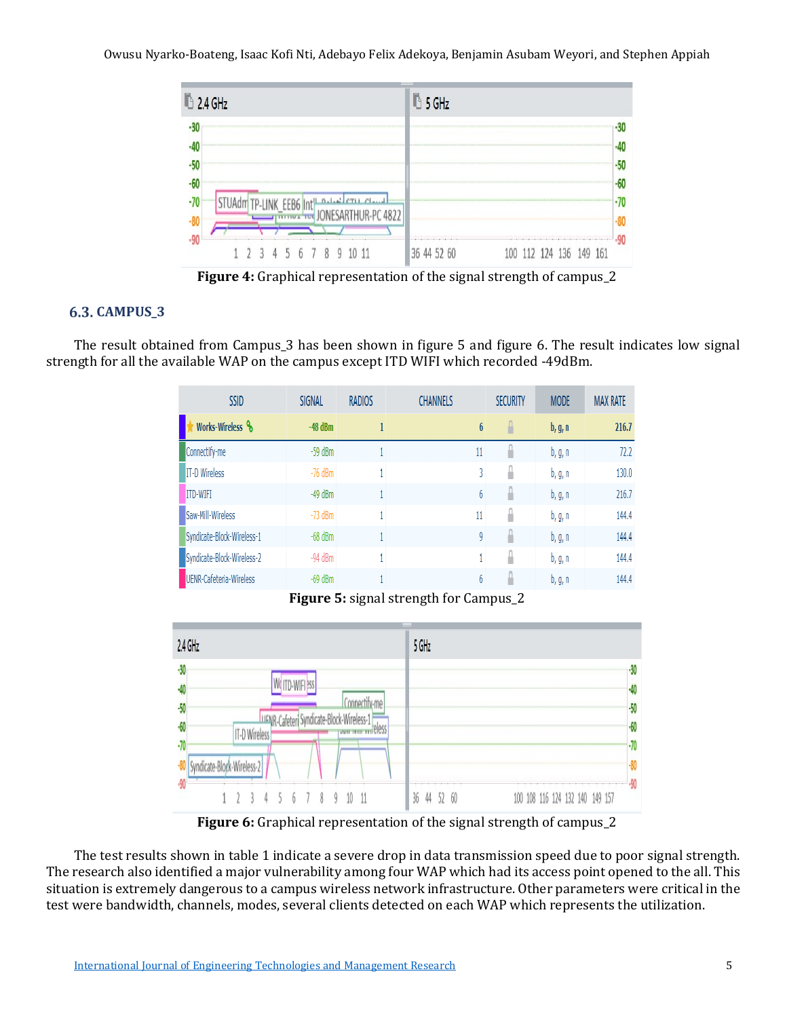Owusu Nyarko-Boateng, Isaac Kofi Nti, Adebayo Felix Adekoya, Benjamin Asubam Weyori, and Stephen Appiah



**Figure 4:** Graphical representation of the signal strength of campus\_2

# **CAMPUS\_3**

The result obtained from Campus\_3 has been shown in figure 5 and figure 6. The result indicates low signal strength for all the available WAP on the campus except ITD WIFI which recorded -49dBm.

| <b>SSID</b>                | <b>SIGNAL</b> | <b>RADIOS</b> | <b>CHANNELS</b>  | <b>SECURITY</b> | <b>MODE</b> | <b>MAX RATE</b> |
|----------------------------|---------------|---------------|------------------|-----------------|-------------|-----------------|
| Works-Wireless &           | $-48$ dBm     |               | $\boldsymbol{6}$ | Ľ               | b, g, n     | 216.7           |
| Connectify-me              | $-59$ dBm     |               | 11               | ſ               | b, g, n     | 72.2            |
| <b>IT-D Wireless</b>       | $-76$ dBm     |               | 3                | r               | b, g, n     | 130.0           |
| <b>ITD-WIFI</b>            | $-49$ dBm     |               | 6                | r               | b, g, n     | 216.7           |
| Saw-Mill-Wireless          | $-73$ dBm     |               | 11               | Ë               | b, g, n     | 144.4           |
| Syndicate-Block-Wireless-1 | $-68$ dBm     |               | 9                | Ë               | b, g, n     | 144.4           |
| Syndicate-Block-Wireless-2 | $-94$ dBm     |               |                  | n               | b, g, n     | 144.4           |
| UENR-Cafeteria-Wireless    | $-69$ dBm     |               | 6                | n               | b, g, n     | 144.4           |

**Figure 5:** signal strength for Campus\_2



**Figure 6:** Graphical representation of the signal strength of campus\_2

The test results shown in table 1 indicate a severe drop in data transmission speed due to poor signal strength. The research also identified a major vulnerability among four WAP which had its access point opened to the all. This situation is extremely dangerous to a campus wireless network infrastructure. Other parameters were critical in the test were bandwidth, channels, modes, several clients detected on each WAP which represents the utilization.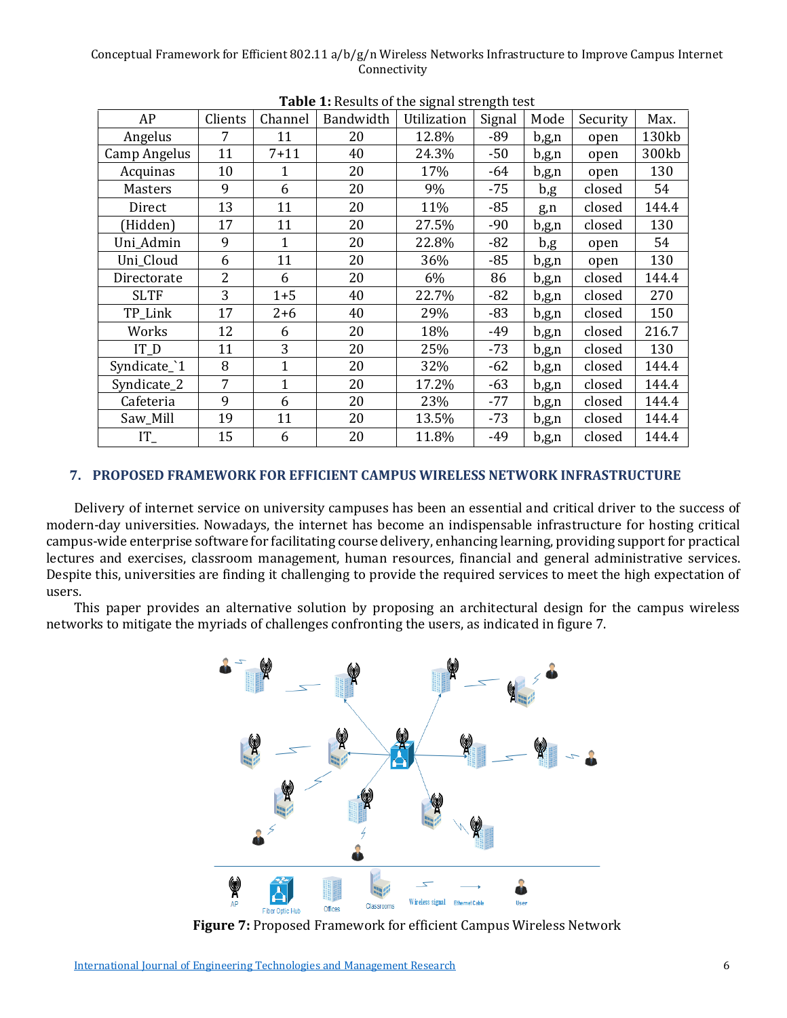#### Conceptual Framework for Efficient 802.11 a/b/g/n Wireless Networks Infrastructure to Improve Campus Internet Connectivity

| Signal<br>AP<br>Clients<br>Bandwidth<br>Channel<br>Utilization<br>Mode<br>7<br>11<br>20<br>12.8%<br>-89<br>Angelus<br>b,g,n<br>11<br>Camp Angelus<br>$7 + 11$<br>40<br>24.3%<br>-50<br>b,g,n<br>Acquinas<br>10<br>20<br>17%<br>1<br>-64<br>b,g,n<br>9<br>Masters<br>6<br>20<br>9%<br>$-75$<br>b,g<br>13<br>11<br>20<br>$-85$<br>11%<br>Direct<br>g,n | Max.<br>Security<br>130kb<br>open<br>300kb<br>open<br>130<br>open<br>54<br>closed<br>144.4<br>closed<br>130<br>closed |
|------------------------------------------------------------------------------------------------------------------------------------------------------------------------------------------------------------------------------------------------------------------------------------------------------------------------------------------------------|-----------------------------------------------------------------------------------------------------------------------|
|                                                                                                                                                                                                                                                                                                                                                      |                                                                                                                       |
|                                                                                                                                                                                                                                                                                                                                                      |                                                                                                                       |
|                                                                                                                                                                                                                                                                                                                                                      |                                                                                                                       |
|                                                                                                                                                                                                                                                                                                                                                      |                                                                                                                       |
|                                                                                                                                                                                                                                                                                                                                                      |                                                                                                                       |
|                                                                                                                                                                                                                                                                                                                                                      |                                                                                                                       |
| 17<br>11<br>20<br>(Hidden)<br>27.5%<br>$-90$<br>b,g,n                                                                                                                                                                                                                                                                                                |                                                                                                                       |
| 9<br>Uni Admin<br>20<br>$\mathbf{1}$<br>22.8%<br>-82<br>b,g                                                                                                                                                                                                                                                                                          | 54<br>open                                                                                                            |
| 11<br>Uni_Cloud<br>20<br>$-85$<br>6<br>36%<br>b,g,n                                                                                                                                                                                                                                                                                                  | 130<br>open                                                                                                           |
| $\overline{2}$<br>20<br>6%<br>86<br>Directorate<br>6<br>b,g,n                                                                                                                                                                                                                                                                                        | 144.4<br>closed                                                                                                       |
| 3<br><b>SLTF</b><br>$1 + 5$<br>40<br>22.7%<br>-82<br>b,g,n                                                                                                                                                                                                                                                                                           | 270<br>closed                                                                                                         |
| 40<br>29%<br>TP_Link<br>17<br>$2 + 6$<br>$-83$<br>b,g,n                                                                                                                                                                                                                                                                                              | 150<br>closed                                                                                                         |
| 12<br>20<br>-49<br>Works<br>18%<br>6<br>$b$ ,g,n                                                                                                                                                                                                                                                                                                     | 216.7<br>closed                                                                                                       |
| 3<br>20<br>$IT_D$<br>11<br>25%<br>$-73$<br>b,g,n                                                                                                                                                                                                                                                                                                     | 130<br>closed                                                                                                         |
| 8<br>$\mathbf{1}$<br>Syndicate_'1<br>20<br>32%<br>$-62$<br>b,g,n                                                                                                                                                                                                                                                                                     | closed<br>144.4                                                                                                       |
| 7<br>$\mathbf{1}$<br>20<br>Syndicate_2<br>17.2%<br>-63<br>b,g,n                                                                                                                                                                                                                                                                                      | 144.4<br>closed                                                                                                       |
| 9<br>Cafeteria<br>20<br>23%<br>$-77$<br>6<br>$b$ ,g,n                                                                                                                                                                                                                                                                                                | 144.4<br>closed                                                                                                       |
| 19<br>11<br>20<br>13.5%<br>$-73$<br>Saw_Mill<br>b,g,n                                                                                                                                                                                                                                                                                                | 144.4<br>closed                                                                                                       |
| $\ensuremath{\mathsf{IT}}_{-}$<br>20<br>15<br>-49<br>6<br>11.8%<br>b,g,n                                                                                                                                                                                                                                                                             | 144.4<br>closed                                                                                                       |

**Table 1:** Results of the signal strength test

# **7. PROPOSED FRAMEWORK FOR EFFICIENT CAMPUS WIRELESS NETWORK INFRASTRUCTURE**

Delivery of internet service on university campuses has been an essential and critical driver to the success of modern-day universities. Nowadays, the internet has become an indispensable infrastructure for hosting critical campus-wide enterprise software for facilitating course delivery, enhancing learning, providing support for practical lectures and exercises, classroom management, human resources, financial and general administrative services. Despite this, universities are finding it challenging to provide the required services to meet the high expectation of users.

This paper provides an alternative solution by proposing an architectural design for the campus wireless networks to mitigate the myriads of challenges confronting the users, as indicated in figure 7.



**Figure 7:** Proposed Framework for efficient Campus Wireless Network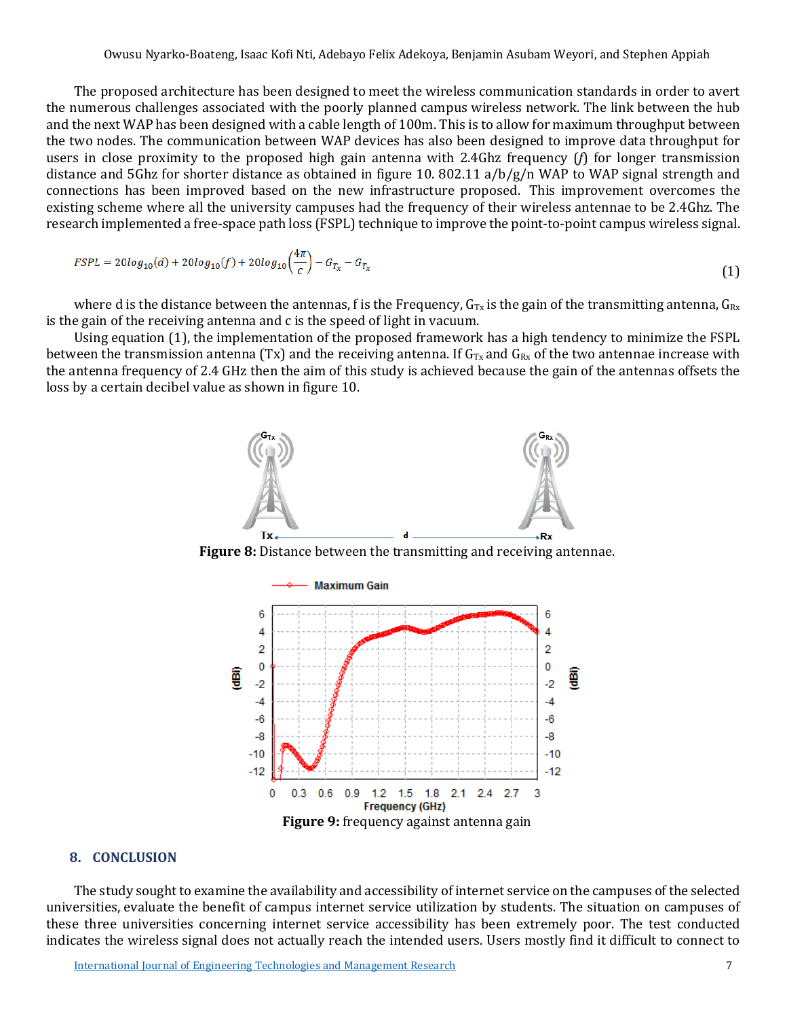The proposed architecture has been designed to meet the wireless communication standards in order to avert the numerous challenges associated with the poorly planned campus wireless network. The link between the hub and the next WAP has been designed with a cable length of 100m. This is to allow for maximum throughput between the two nodes. The communication between WAP devices has also been designed to improve data throughput for users in close proximity to the proposed high gain antenna with 2.4Ghz frequency (*f*) for longer transmission distance and 5Ghz for shorter distance as obtained in figure 10. 802.11 a/b/g/n WAP to WAP signal strength and connections has been improved based on the new infrastructure proposed. This improvement overcomes the existing scheme where all the university campuses had the frequency of their wireless antennae to be 2.4Ghz. The research implemented a free-space path loss (FSPL) technique to improve the point-to-point campus wireless signal.

$$
FSPL = 20\log_{10}(d) + 20\log_{10}(f) + 20\log_{10}\left(\frac{4\pi}{c}\right) - G_{T_x} - G_{T_x}
$$
\n(1)

where d is the distance between the antennas, f is the Frequency,  $G_{Tx}$  is the gain of the transmitting antenna,  $G_{Rx}$ is the gain of the receiving antenna and c is the speed of light in vacuum.

Using equation (1), the implementation of the proposed framework has a high tendency to minimize the FSPL between the transmission antenna (Tx) and the receiving antenna. If  $G_{Tx}$  and  $G_{Rx}$  of the two antennae increase with the antenna frequency of 2.4 GHz then the aim of this study is achieved because the gain of the antennas offsets the loss by a certain decibel value as shown in figure 10.



**Figure 8:** Distance between the transmitting and receiving antennae.



#### **8. CONCLUSION**

The study sought to examine the availability and accessibility of internet service on the campuses of the selected universities, evaluate the benefit of campus internet service utilization by students. The situation on campuses of these three universities concerning internet service accessibility has been extremely poor. The test conducted indicates the wireless signal does not actually reach the intended users. Users mostly find it difficult to connect to